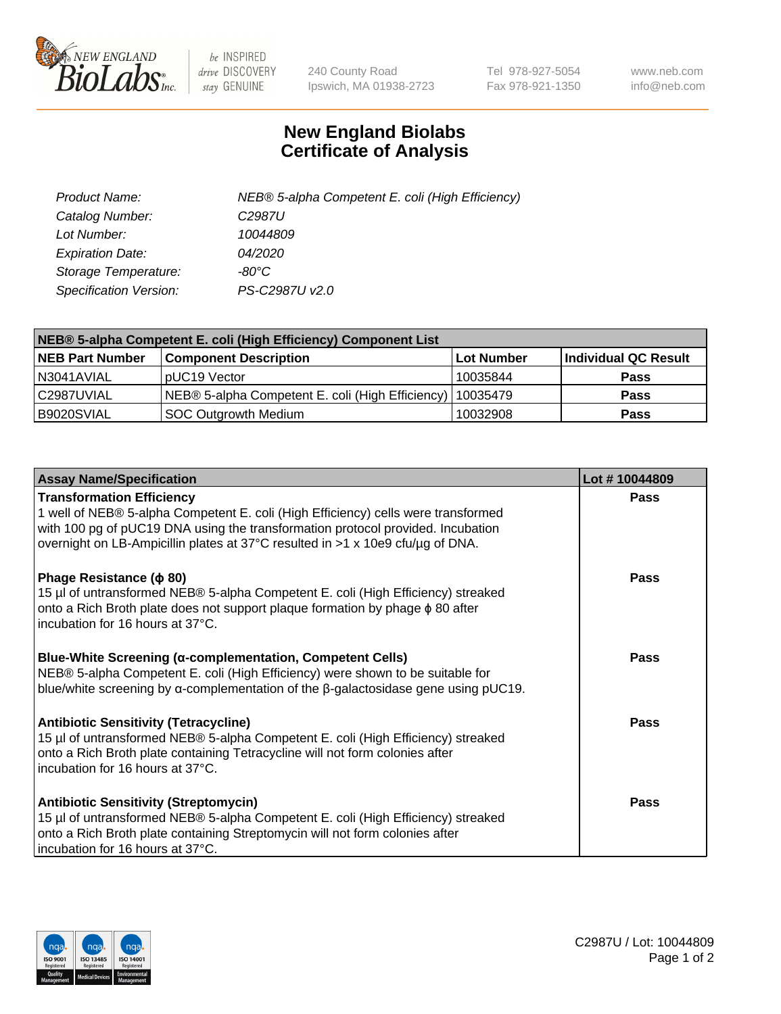

 $be$  INSPIRED drive DISCOVERY stay GENUINE

240 County Road Ipswich, MA 01938-2723 Tel 978-927-5054 Fax 978-921-1350 www.neb.com info@neb.com

## **New England Biolabs Certificate of Analysis**

| Product Name:                 | NEB® 5-alpha Competent E. coli (High Efficiency) |
|-------------------------------|--------------------------------------------------|
| Catalog Number:               | C <sub>2987</sub> U                              |
| Lot Number:                   | 10044809                                         |
| <b>Expiration Date:</b>       | <i>04/2020</i>                                   |
| Storage Temperature:          | -80°C                                            |
| <b>Specification Version:</b> | PS-C2987U v2.0                                   |

| NEB® 5-alpha Competent E. coli (High Efficiency) Component List |                                                             |                   |                      |  |
|-----------------------------------------------------------------|-------------------------------------------------------------|-------------------|----------------------|--|
| <b>NEB Part Number</b>                                          | <b>Component Description</b>                                | <b>Lot Number</b> | Individual QC Result |  |
| N3041AVIAL                                                      | pUC19 Vector                                                | 10035844          | <b>Pass</b>          |  |
| C2987UVIAL                                                      | NEB® 5-alpha Competent E. coli (High Efficiency)   10035479 |                   | <b>Pass</b>          |  |
| B9020SVIAL                                                      | SOC Outgrowth Medium                                        | 10032908          | <b>Pass</b>          |  |

| <b>Assay Name/Specification</b>                                                                                                                                                                                                                                                            | Lot #10044809 |
|--------------------------------------------------------------------------------------------------------------------------------------------------------------------------------------------------------------------------------------------------------------------------------------------|---------------|
| <b>Transformation Efficiency</b><br>1 well of NEB® 5-alpha Competent E. coli (High Efficiency) cells were transformed<br>with 100 pg of pUC19 DNA using the transformation protocol provided. Incubation<br>overnight on LB-Ampicillin plates at 37°C resulted in >1 x 10e9 cfu/µg of DNA. | <b>Pass</b>   |
| Phage Resistance ( $\phi$ 80)<br>15 µl of untransformed NEB® 5-alpha Competent E. coli (High Efficiency) streaked<br>onto a Rich Broth plate does not support plaque formation by phage $\phi$ 80 after<br>incubation for 16 hours at 37°C.                                                | Pass          |
| Blue-White Screening (α-complementation, Competent Cells)<br>NEB® 5-alpha Competent E. coli (High Efficiency) were shown to be suitable for<br>blue/white screening by $\alpha$ -complementation of the $\beta$ -galactosidase gene using pUC19.                                           | <b>Pass</b>   |
| <b>Antibiotic Sensitivity (Tetracycline)</b><br>15 µl of untransformed NEB® 5-alpha Competent E. coli (High Efficiency) streaked<br>onto a Rich Broth plate containing Tetracycline will not form colonies after<br>incubation for 16 hours at 37°C.                                       | Pass          |
| <b>Antibiotic Sensitivity (Streptomycin)</b><br>15 µl of untransformed NEB® 5-alpha Competent E. coli (High Efficiency) streaked<br>onto a Rich Broth plate containing Streptomycin will not form colonies after<br>incubation for 16 hours at 37°C.                                       | Pass          |